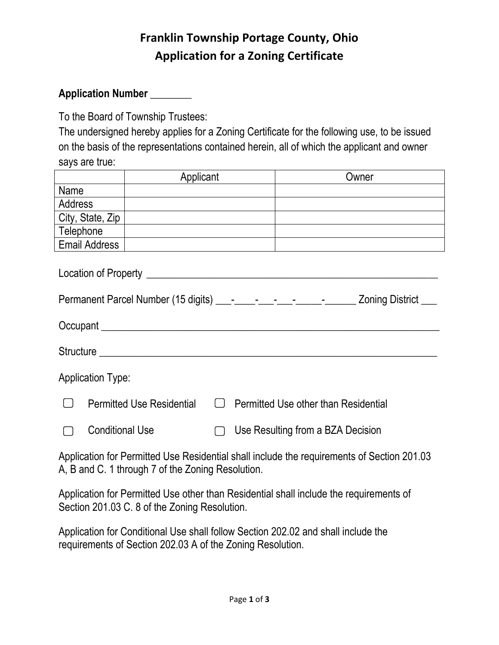### **Franklin Township Portage County, Ohio Application for a Zoning Certificate**

#### **Application Number** \_\_\_\_\_\_\_\_

To the Board of Township Trustees:

The undersigned hereby applies for a Zoning Certificate for the following use, to be issued on the basis of the representations contained herein, all of which the applicant and owner says are true:

|                                                                                                                                                                                                                                     | Applicant                        |  | Owner                                       |
|-------------------------------------------------------------------------------------------------------------------------------------------------------------------------------------------------------------------------------------|----------------------------------|--|---------------------------------------------|
| Name                                                                                                                                                                                                                                |                                  |  |                                             |
| <b>Address</b>                                                                                                                                                                                                                      |                                  |  |                                             |
| City, State, Zip                                                                                                                                                                                                                    |                                  |  |                                             |
| Telephone                                                                                                                                                                                                                           |                                  |  |                                             |
| <b>Email Address</b>                                                                                                                                                                                                                |                                  |  |                                             |
|                                                                                                                                                                                                                                     |                                  |  |                                             |
|                                                                                                                                                                                                                                     |                                  |  |                                             |
| Occupant <u>example</u> and the contract of the contract of the contract of the contract of the contract of the contract of the contract of the contract of the contract of the contract of the contract of the contract of the con |                                  |  |                                             |
| <b>Application Type:</b>                                                                                                                                                                                                            |                                  |  |                                             |
|                                                                                                                                                                                                                                     | <b>Permitted Use Residential</b> |  | $\Box$ Permitted Use other than Residential |
| <b>Conditional Use</b>                                                                                                                                                                                                              |                                  |  | Use Resulting from a BZA Decision           |
| Application for Permitted Use Residential shall include the requirements of Section 201.03                                                                                                                                          |                                  |  |                                             |

A, B and C. 1 through 7 of the Zoning Resolution.

Application for Permitted Use other than Residential shall include the requirements of Section 201.03 C. 8 of the Zoning Resolution.

Application for Conditional Use shall follow Section 202.02 and shall include the requirements of Section 202.03 A of the Zoning Resolution.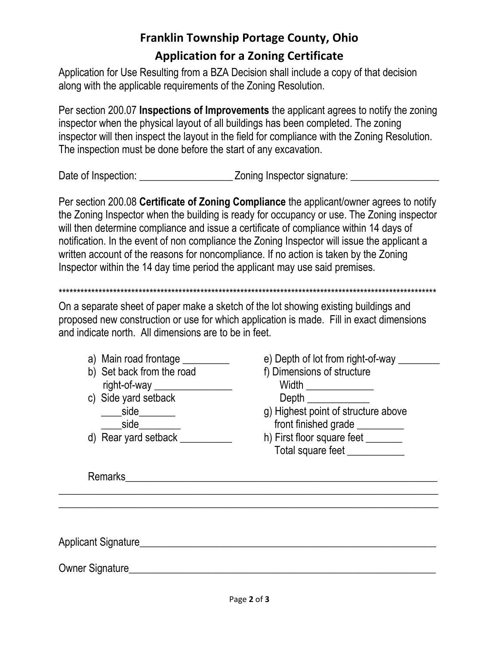## **Franklin Township Portage County, Ohio Application for a Zoning Certificate**

Application for Use Resulting from a BZA Decision shall include a copy of that decision along with the applicable requirements of the Zoning Resolution.

Per section 200.07 **Inspections of Improvements** the applicant agrees to notify the zoning inspector when the physical layout of all buildings has been completed. The zoning inspector will then inspect the layout in the field for compliance with the Zoning Resolution. The inspection must be done before the start of any excavation.

Date of Inspection: <br>
Zoning Inspector signature:

Per section 200.08 Certificate of Zoning Compliance the applicant/owner agrees to notify the Zoning Inspector when the building is ready for occupancy or use. The Zoning inspector will then determine compliance and issue a certificate of compliance within 14 days of notification. In the event of non compliance the Zoning Inspector will issue the applicant a written account of the reasons for noncompliance. If no action is taken by the Zoning Inspector within the 14 day time period the applicant may use said premises.

On a separate sheet of paper make a sketch of the lot showing existing buildings and proposed new construction or use for which application is made. Fill in exact dimensions and indicate north. All dimensions are to be in feet.

- a) Main road frontage \_\_\_\_\_\_\_\_\_
- b) Set back from the road right-of-way
- c) Side yard setback  $\_side$

side

d) Rear yard setback \_\_\_\_\_\_\_\_\_

e) Depth of lot from right-of-way

f) Dimensions of structure

**Width Exercise State Control** 

- **Depth**
- g) Highest point of structure above front finished grade
- h) First floor square feet Total square feet

Remarks Partners and the contract of the contract of the contract of the contract of the contract of the contract of the contract of the contract of the contract of the contract of the contract of the contract of the contr

Applicant Signature **Applicant** Signature **Applicant** Signature **Applicant** Signature **Applicant** Signature **Applicant** Signature **Applicant** Signature **Applicant** Signature **Applicant** Signature **Applicant** Signature **App** 

Owner Signature **Executive Signature** and the second state of the second state of the second state of the second state of the second state of the second state of the second state of the second state of the second state of